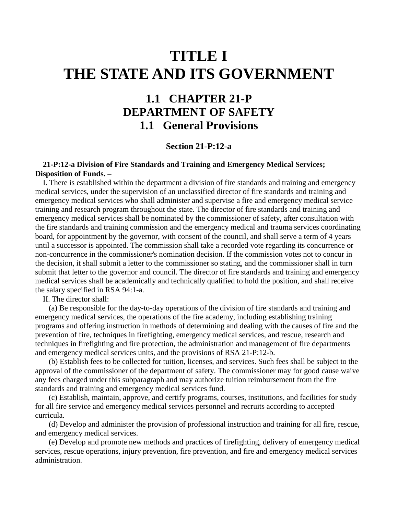## **TITLE I THE STATE AND ITS GOVERNMENT**

## **1.1 CHAPTER 21-P DEPARTMENT OF SAFETY 1.1 General Provisions**

## **Section 21-P:12-a**

## **21-P:12-a Division of Fire Standards and Training and Emergency Medical Services; Disposition of Funds. –**

 I. There is established within the department a division of fire standards and training and emergency medical services, under the supervision of an unclassified director of fire standards and training and emergency medical services who shall administer and supervise a fire and emergency medical service training and research program throughout the state. The director of fire standards and training and emergency medical services shall be nominated by the commissioner of safety, after consultation with the fire standards and training commission and the emergency medical and trauma services coordinating board, for appointment by the governor, with consent of the council, and shall serve a term of 4 years until a successor is appointed. The commission shall take a recorded vote regarding its concurrence or non-concurrence in the commissioner's nomination decision. If the commission votes not to concur in the decision, it shall submit a letter to the commissioner so stating, and the commissioner shall in turn submit that letter to the governor and council. The director of fire standards and training and emergency medical services shall be academically and technically qualified to hold the position, and shall receive the salary specified in RSA 94:1-a.

II. The director shall:

 (a) Be responsible for the day-to-day operations of the division of fire standards and training and emergency medical services, the operations of the fire academy, including establishing training programs and offering instruction in methods of determining and dealing with the causes of fire and the prevention of fire, techniques in firefighting, emergency medical services, and rescue, research and techniques in firefighting and fire protection, the administration and management of fire departments and emergency medical services units, and the provisions of RSA 21-P:12-b.

 (b) Establish fees to be collected for tuition, licenses, and services. Such fees shall be subject to the approval of the commissioner of the department of safety. The commissioner may for good cause waive any fees charged under this subparagraph and may authorize tuition reimbursement from the fire standards and training and emergency medical services fund.

 (c) Establish, maintain, approve, and certify programs, courses, institutions, and facilities for study for all fire service and emergency medical services personnel and recruits according to accepted curricula.

 (d) Develop and administer the provision of professional instruction and training for all fire, rescue, and emergency medical services.

 (e) Develop and promote new methods and practices of firefighting, delivery of emergency medical services, rescue operations, injury prevention, fire prevention, and fire and emergency medical services administration.